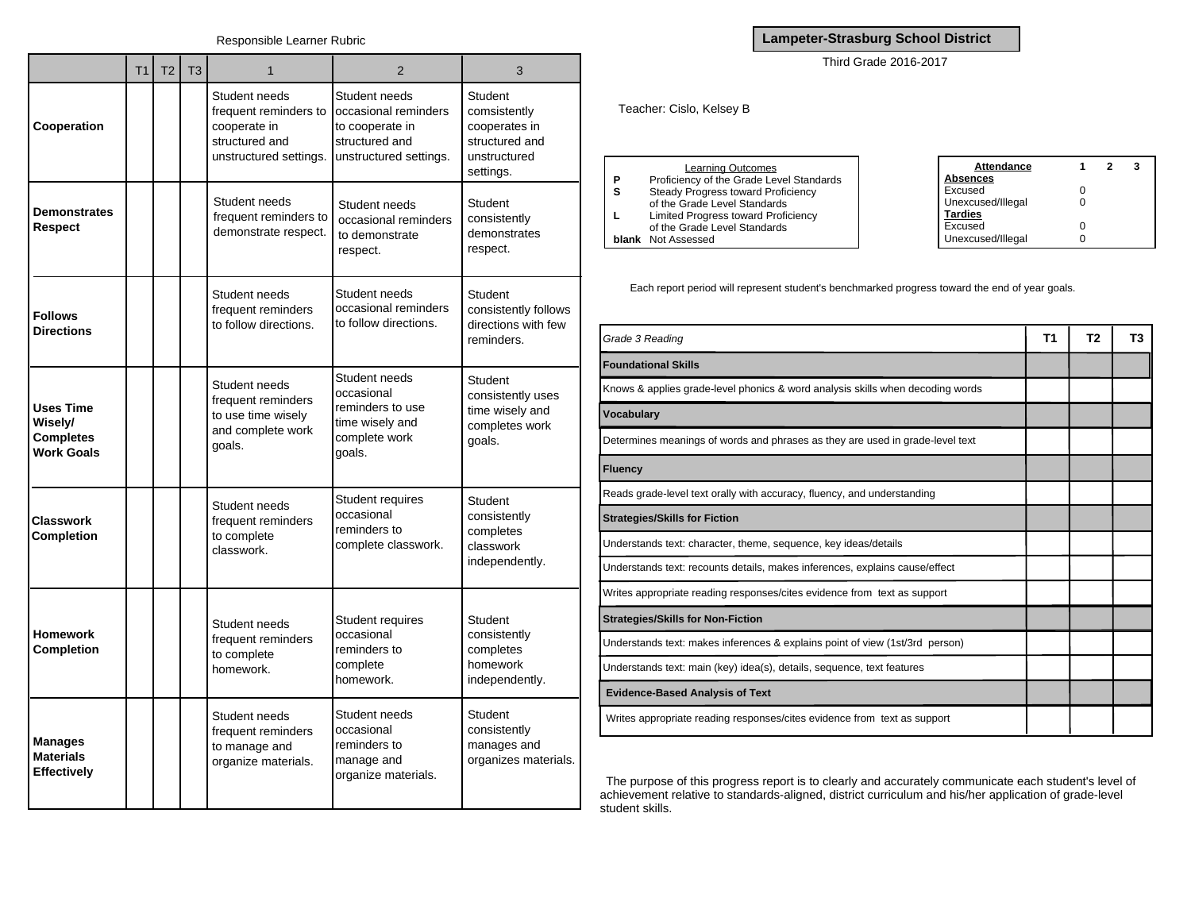|                                                                      | <b>T1</b> | T <sub>2</sub> | T <sub>3</sub> | 1                                                                                                  | 2                                                                                                    | 3                                                                                              |
|----------------------------------------------------------------------|-----------|----------------|----------------|----------------------------------------------------------------------------------------------------|------------------------------------------------------------------------------------------------------|------------------------------------------------------------------------------------------------|
| Cooperation                                                          |           |                |                | Student needs<br>frequent reminders to<br>cooperate in<br>structured and<br>unstructured settings. | Student needs<br>occasional reminders<br>to cooperate in<br>structured and<br>unstructured settings. | <b>Student</b><br>comsistently<br>cooperates in<br>structured and<br>unstructured<br>settings. |
| <b>Demonstrates</b><br>Respect                                       |           |                |                | Student needs<br>frequent reminders to<br>demonstrate respect.                                     | Student needs<br>occasional reminders<br>to demonstrate<br>respect.                                  | Student<br>consistently<br>demonstrates<br>respect.                                            |
| <b>Follows</b><br><b>Directions</b>                                  |           |                |                | Student needs<br>frequent reminders<br>to follow directions.                                       | Student needs<br>occasional reminders<br>to follow directions.                                       | Student<br>consistently follows<br>directions with few<br>reminders.                           |
| <b>Uses Time</b><br>Wisely/<br><b>Completes</b><br><b>Work Goals</b> |           |                |                | Student needs<br>frequent reminders<br>to use time wisely<br>and complete work<br>qoals.           | Student needs<br>occasional<br>reminders to use<br>time wisely and<br>complete work<br>goals.        | Student<br>consistently uses<br>time wisely and<br>completes work<br>goals.                    |
| <b>Classwork</b><br><b>Completion</b>                                |           |                |                | Student needs<br>frequent reminders<br>to complete<br>classwork.                                   | Student requires<br>occasional<br>reminders to<br>complete classwork.                                | <b>Student</b><br>consistently<br>completes<br>classwork<br>independently.                     |
| <b>Homework</b><br><b>Completion</b>                                 |           |                |                | Student needs<br>frequent reminders<br>to complete<br>homework.                                    | Student requires<br>occasional<br>reminders to<br>complete<br>homework.                              | <b>Student</b><br>consistently<br>completes<br>homework<br>independently.                      |
| <b>Manages</b><br><b>Materials</b><br><b>Effectively</b>             |           |                |                | Student needs<br>frequent reminders<br>to manage and<br>organize materials.                        | Student needs<br>occasional<br>reminders to<br>manage and<br>organize materials.                     | Student<br>consistently<br>manages and<br>organizes materials.                                 |

**Lampeter-Strasburg School District**

Third Grade 2016-2017

Teacher: Cislo, Kelsey B

|   | <b>Learning Outcomes</b>                 |
|---|------------------------------------------|
| P | Proficiency of the Grade Level Standards |
| S | Steady Progress toward Proficiency       |
|   | of the Grade Level Standards             |
| L | Limited Progress toward Proficiency      |
|   | of the Grade Level Standards             |
|   | <b>blank</b> Not Assessed                |

| <b>Attendance</b> |   | 2 |  |
|-------------------|---|---|--|
| <u>Absences</u>   |   |   |  |
| Excused           | Ω |   |  |
| Unexcused/Illegal | 0 |   |  |
| <b>Tardies</b>    |   |   |  |
| Excused           | 0 |   |  |
| Unexcused/Illegal |   |   |  |

Each report period will represent student's benchmarked progress toward the end of year goals.

| Grade 3 Reading                                                                | Τ1 | Т2 | Т3 |
|--------------------------------------------------------------------------------|----|----|----|
| <b>Foundational Skills</b>                                                     |    |    |    |
| Knows & applies grade-level phonics & word analysis skills when decoding words |    |    |    |
| <b>Vocabulary</b>                                                              |    |    |    |
| Determines meanings of words and phrases as they are used in grade-level text  |    |    |    |
| <b>Fluency</b>                                                                 |    |    |    |
| Reads grade-level text orally with accuracy, fluency, and understanding        |    |    |    |
| <b>Strategies/Skills for Fiction</b>                                           |    |    |    |
| Understands text: character, theme, sequence, key ideas/details                |    |    |    |
| Understands text: recounts details, makes inferences, explains cause/effect    |    |    |    |
| Writes appropriate reading responses/cites evidence from text as support       |    |    |    |
| <b>Strategies/Skills for Non-Fiction</b>                                       |    |    |    |
| Understands text: makes inferences & explains point of view (1st/3rd person)   |    |    |    |
| Understands text: main (key) idea(s), details, sequence, text features         |    |    |    |
| <b>Evidence-Based Analysis of Text</b>                                         |    |    |    |
| Writes appropriate reading responses/cites evidence from text as support       |    |    |    |

The purpose of this progress report is to clearly and accurately communicate each student's level of achievement relative to standards-aligned, district curriculum and his/her application of grade-level student skills.